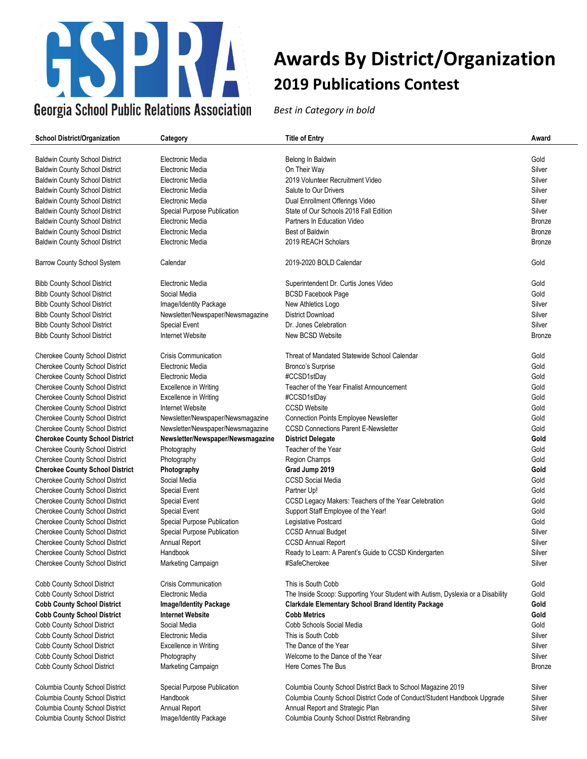

| <b>School District/Organization</b>    | Category                          | <b>Title of Entry</b>                                                           | Award         |
|----------------------------------------|-----------------------------------|---------------------------------------------------------------------------------|---------------|
|                                        |                                   |                                                                                 |               |
| <b>Baldwin County School District</b>  | Electronic Media                  | Belong In Baldwin                                                               | Gold          |
| <b>Baldwin County School District</b>  | Electronic Media                  | On Their Way                                                                    | Silver        |
| <b>Baldwin County School District</b>  | Electronic Media                  | 2019 Volunteer Recruitment Video                                                | Silver        |
| <b>Baldwin County School District</b>  | Electronic Media                  | Salute to Our Drivers                                                           | Silver        |
| <b>Baldwin County School District</b>  | Electronic Media                  | Dual Enrollment Offerings Video                                                 | Silver        |
| <b>Baldwin County School District</b>  | Special Purpose Publication       | State of Our Schools 2018 Fall Edition                                          | Silver        |
| <b>Baldwin County School District</b>  | Electronic Media                  | Partners In Education Video                                                     | <b>Bronze</b> |
| <b>Baldwin County School District</b>  | Electronic Media                  | <b>Best of Baldwin</b>                                                          | <b>Bronze</b> |
| <b>Baldwin County School District</b>  | Electronic Media                  | 2019 REACH Scholars                                                             | <b>Bronze</b> |
| <b>Barrow County School System</b>     | Calendar                          | 2019-2020 BOLD Calendar                                                         | Gold          |
| <b>Bibb County School District</b>     | Electronic Media                  | Superintendent Dr. Curtis Jones Video                                           | Gold          |
| <b>Bibb County School District</b>     | Social Media                      | <b>BCSD Facebook Page</b>                                                       | Gold          |
| <b>Bibb County School District</b>     | Image/Identity Package            | New Athletics Logo                                                              | Silver        |
| <b>Bibb County School District</b>     | Newsletter/Newspaper/Newsmagazine | <b>District Download</b>                                                        | Silver        |
| <b>Bibb County School District</b>     | Special Event                     | Dr. Jones Celebration                                                           | Silver        |
| <b>Bibb County School District</b>     | Internet Website                  | New BCSD Website                                                                | <b>Bronze</b> |
| <b>Cherokee County School District</b> | <b>Crisis Communication</b>       | Threat of Mandated Statewide School Calendar                                    | Gold          |
| <b>Cherokee County School District</b> | Electronic Media                  | Bronco's Surprise                                                               | Gold          |
| <b>Cherokee County School District</b> | Electronic Media                  | #CCSD1stDay                                                                     | Gold          |
| <b>Cherokee County School District</b> | <b>Excellence in Writing</b>      | Teacher of the Year Finalist Announcement                                       | Gold          |
| <b>Cherokee County School District</b> | <b>Excellence in Writing</b>      | #CCSD1stDay                                                                     | Gold          |
| <b>Cherokee County School District</b> | Internet Website                  | <b>CCSD Website</b>                                                             | Gold          |
| <b>Cherokee County School District</b> | Newsletter/Newspaper/Newsmagazine | <b>Connection Points Employee Newsletter</b>                                    | Gold          |
| <b>Cherokee County School District</b> |                                   | <b>CCSD Connections Parent E-Newsletter</b>                                     | Gold          |
|                                        | Newsletter/Newspaper/Newsmagazine |                                                                                 |               |
| <b>Cherokee County School District</b> | Newsletter/Newspaper/Newsmagazine | <b>District Delegate</b>                                                        | Gold          |
| <b>Cherokee County School District</b> | Photography                       | Teacher of the Year                                                             | Gold          |
| <b>Cherokee County School District</b> | Photography                       | Region Champs                                                                   | Gold          |
| <b>Cherokee County School District</b> | Photography                       | Grad Jump 2019                                                                  | Gold          |
| <b>Cherokee County School District</b> | Social Media                      | <b>CCSD Social Media</b>                                                        | Gold          |
| <b>Cherokee County School District</b> | <b>Special Event</b>              | Partner Up!                                                                     | Gold          |
| <b>Cherokee County School District</b> | <b>Special Event</b>              | CCSD Legacy Makers: Teachers of the Year Celebration                            | Gold          |
| <b>Cherokee County School District</b> | <b>Special Event</b>              | Support Staff Employee of the Year!                                             | Gold          |
| Cherokee County School District        | Special Purpose Publication       | Legislative Postcard                                                            | Gold          |
| Cherokee County School District        | Special Purpose Publication       | <b>CCSD Annual Budget</b>                                                       | Silver        |
| Cherokee County School District        | Annual Report                     | <b>CCSD Annual Report</b>                                                       | Silver        |
| <b>Cherokee County School District</b> | Handbook                          | Ready to Learn: A Parent's Guide to CCSD Kindergarten                           | Silver        |
| Cherokee County School District        | Marketing Campaign                | #SafeCherokee                                                                   | Silver        |
| Cobb County School District            | <b>Crisis Communication</b>       | This is South Cobb                                                              | Gold          |
| Cobb County School District            | Electronic Media                  | The Inside Scoop: Supporting Your Student with Autism, Dyslexia or a Disability | Gold          |
| <b>Cobb County School District</b>     | Image/Identity Package            | <b>Clarkdale Elementary School Brand Identity Package</b>                       | Gold          |
| <b>Cobb County School District</b>     | <b>Internet Website</b>           | <b>Cobb Metrics</b>                                                             | Gold          |
| Cobb County School District            | Social Media                      | Cobb Schools Social Media                                                       | Gold          |
| Cobb County School District            | Electronic Media                  | This is South Cobb                                                              | Silver        |
| Cobb County School District            | <b>Excellence in Writing</b>      | The Dance of the Year                                                           | Silver        |
| Cobb County School District            | Photography                       | Welcome to the Dance of the Year                                                | Silver        |
| Cobb County School District            | Marketing Campaign                | Here Comes The Bus                                                              | <b>Bronze</b> |
| Columbia County School District        | Special Purpose Publication       | Columbia County School District Back to School Magazine 2019                    | Silver        |
| Columbia County School District        | <b>Handbook</b>                   | Columbia County School District Code of Conduct/Student Handbook Upgrade        | Silver        |
| Columbia County School District        | Annual Report                     | Annual Report and Strategic Plan                                                | Silver        |
| Columbia County School District        | Image/Identity Package            | Columbia County School District Rebranding                                      | Silver        |
|                                        |                                   |                                                                                 |               |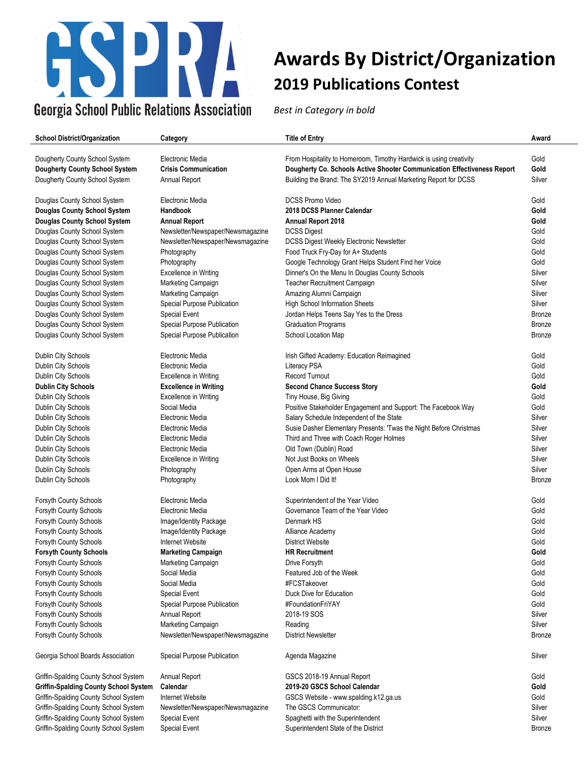

| <b>School District/Organization</b>   | Category                          | <b>Title of Entry</b>                                                   | Award         |
|---------------------------------------|-----------------------------------|-------------------------------------------------------------------------|---------------|
| Dougherty County School System        | Electronic Media                  | From Hospitality to Homeroom, Timothy Hardwick is using creativity      | Gold          |
| Dougherty County School System        | <b>Crisis Communication</b>       | Dougherty Co. Schools Active Shooter Communication Effectiveness Report | Gold          |
| Dougherty County School System        | Annual Report                     | Building the Brand: The SY2019 Annual Marketing Report for DCSS         | Silver        |
| Douglas County School System          | Electronic Media                  | <b>DCSS Promo Video</b>                                                 | Gold          |
| Douglas County School System          | Handbook                          | 2018 DCSS Planner Calendar                                              | Gold          |
| Douglas County School System          | <b>Annual Report</b>              | <b>Annual Report 2018</b>                                               | Gold          |
| Douglas County School System          | Newsletter/Newspaper/Newsmagazine | <b>DCSS Digest</b>                                                      | Gold          |
| Douglas County School System          | Newsletter/Newspaper/Newsmagazine | <b>DCSS Digest Weekly Electronic Newsletter</b>                         | Gold          |
| Douglas County School System          | Photography                       | Food Truck Fry-Day for A+ Students                                      | Gold          |
| Douglas County School System          | Photography                       | Google Technology Grant Helps Student Find her Voice                    | Gold          |
| Douglas County School System          | Excellence in Writing             | Dinner's On the Menu In Douglas County Schools                          | Silver        |
| Douglas County School System          | Marketing Campaign                | Teacher Recruitment Campaign                                            | Silver        |
| Douglas County School System          | Marketing Campaign                | Amazing Alumni Campaign                                                 | Silver        |
| Douglas County School System          | Special Purpose Publication       | High School Information Sheets                                          | Silver        |
| Douglas County School System          | <b>Special Event</b>              | Jordan Helps Teens Say Yes to the Dress                                 | Bronze        |
| Douglas County School System          | Special Purpose Publication       | <b>Graduation Programs</b>                                              | Bronze        |
| Douglas County School System          | Special Purpose Publication       | School Location Map                                                     | Bronze        |
| Dublin City Schools                   | Electronic Media                  | Irish Gifted Academy: Education Reimagined                              | Gold          |
| Dublin City Schools                   | Electronic Media                  | Literacy PSA                                                            | Gold          |
| Dublin City Schools                   | <b>Excellence in Writing</b>      | <b>Record Turnout</b>                                                   | Gold          |
| Dublin City Schools                   | <b>Excellence in Writing</b>      | <b>Second Chance Success Story</b>                                      | Gold          |
| Dublin City Schools                   | <b>Excellence in Writing</b>      | Tiny House, Big Giving                                                  | Gold          |
| Dublin City Schools                   | Social Media                      | Positive Stakeholder Engagement and Support: The Facebook Way           | Gold          |
| Dublin City Schools                   | Electronic Media                  | Salary Schedule Independent of the State                                | Silver        |
| Dublin City Schools                   | Electronic Media                  | Susie Dasher Elementary Presents: 'Twas the Night Before Christmas      | Silver        |
| Dublin City Schools                   | Electronic Media                  | Third and Three with Coach Roger Holmes                                 | Silver        |
| Dublin City Schools                   | Electronic Media                  | Old Town (Dublin) Road                                                  | Silver        |
| Dublin City Schools                   | <b>Excellence in Writing</b>      | Not Just Books on Wheels                                                | Silver        |
| Dublin City Schools                   | Photography                       | Open Arms at Open House                                                 | Silver        |
| Dublin City Schools                   | Photography                       | Look Mom I Did It!                                                      | <b>Bronze</b> |
| <b>Forsyth County Schools</b>         | Electronic Media                  | Superintendent of the Year Video                                        | Gold          |
| Forsyth County Schools                | Electronic Media                  | Governance Team of the Year Video                                       | Gold          |
| Forsyth County Schools                | Image/Identity Package            | Denmark HS                                                              | Gold          |
| Forsyth County Schools                | Image/Identity Package            | Alliance Academy                                                        | Gold          |
| Forsyth County Schools                | Internet Website                  | <b>District Website</b>                                                 | Gold          |
| Forsyth County Schools                | <b>Marketing Campaign</b>         | <b>HR Recruitment</b>                                                   | Gold          |
| Forsyth County Schools                | Marketing Campaign                | Drive Forsyth                                                           | Gold          |
| Forsyth County Schools                | Social Media                      | Featured Job of the Week                                                | Gold          |
| Forsyth County Schools                | Social Media                      | #FCSTakeover                                                            | Gold          |
| Forsyth County Schools                | Special Event                     | Duck Dive for Education                                                 | Gold          |
| Forsyth County Schools                | Special Purpose Publication       | #FoundationFriYAY                                                       | Gold          |
| Forsyth County Schools                | Annual Report                     | 2018-19 SOS                                                             | Silver        |
| Forsyth County Schools                | Marketing Campaign                | Reading                                                                 | Silver        |
| Forsyth County Schools                | Newsletter/Newspaper/Newsmagazine | <b>District Newsletter</b>                                              | <b>Bronze</b> |
| Georgia School Boards Association     | Special Purpose Publication       | Agenda Magazine                                                         | Silver        |
| Griffin-Spalding County School System | Annual Report                     | GSCS 2018-19 Annual Report                                              | Gold          |
| Griffin-Spalding County School System | Calendar                          | 2019-20 GSCS School Calendar                                            | Gold          |
| Griffin-Spalding County School System | Internet Website                  | GSCS Website - www.spalding.k12.ga.us                                   | Gold          |
| Griffin-Spalding County School System | Newsletter/Newspaper/Newsmagazine | The GSCS Communicator:                                                  | Silver        |
| Griffin-Spalding County School System | Special Event                     | Spaghetti with the Superintendent                                       | Silver        |
| Griffin-Spalding County School System | <b>Special Event</b>              | Superintendent State of the District                                    | Bronze        |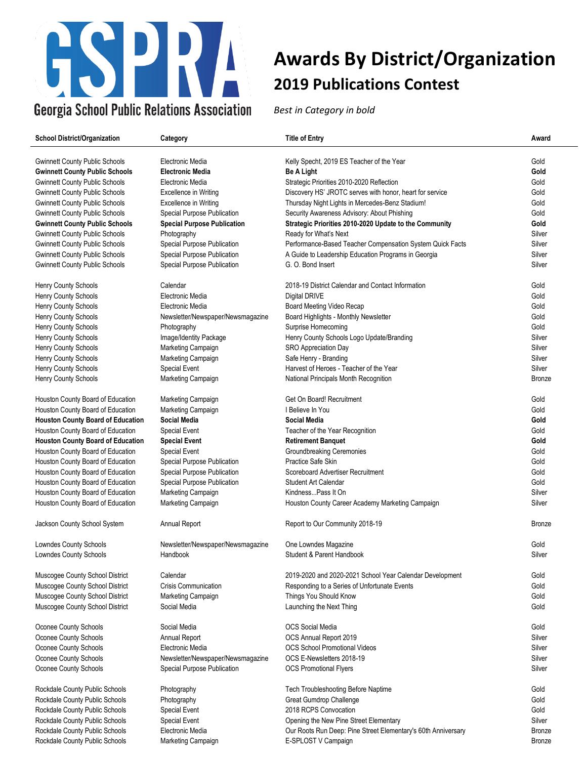

| <b>School District/Organization</b>      | Category                           | <b>Title of Entry</b>                                         | Award          |
|------------------------------------------|------------------------------------|---------------------------------------------------------------|----------------|
|                                          |                                    |                                                               |                |
| <b>Gwinnett County Public Schools</b>    | Electronic Media                   | Kelly Specht, 2019 ES Teacher of the Year                     | Gold           |
| <b>Gwinnett County Public Schools</b>    | <b>Electronic Media</b>            | <b>Be A Light</b>                                             | Gold           |
| <b>Gwinnett County Public Schools</b>    | Electronic Media                   | Strategic Priorities 2010-2020 Reflection                     | Gold           |
| <b>Gwinnett County Public Schools</b>    | Excellence in Writing              | Discovery HS' JROTC serves with honor, heart for service      | Gold           |
| <b>Gwinnett County Public Schools</b>    | <b>Excellence in Writing</b>       | Thursday Night Lights in Mercedes-Benz Stadium!               | Gold           |
| <b>Gwinnett County Public Schools</b>    | Special Purpose Publication        | Security Awareness Advisory: About Phishing                   | Gold           |
| <b>Gwinnett County Public Schools</b>    | <b>Special Purpose Publication</b> | Strategic Priorities 2010-2020 Update to the Community        | Gold           |
| <b>Gwinnett County Public Schools</b>    | Photography                        | Ready for What's Next                                         | Silver         |
| <b>Gwinnett County Public Schools</b>    | Special Purpose Publication        | Performance-Based Teacher Compensation System Quick Facts     | Silver         |
| <b>Gwinnett County Public Schools</b>    | Special Purpose Publication        | A Guide to Leadership Education Programs in Georgia           | Silver         |
| <b>Gwinnett County Public Schools</b>    | Special Purpose Publication        | G. O. Bond Insert                                             | Silver         |
| Henry County Schools                     | Calendar                           | 2018-19 District Calendar and Contact Information             | Gold           |
| Henry County Schools                     | Electronic Media                   | Digital DRIVE                                                 | Gold           |
| Henry County Schools                     | Electronic Media                   | Board Meeting Video Recap                                     | Gold           |
| Henry County Schools                     |                                    |                                                               | Gold           |
|                                          | Newsletter/Newspaper/Newsmagazine  | Board Highlights - Monthly Newsletter                         |                |
| Henry County Schools                     | Photography                        | Surprise Homecoming                                           | Gold<br>Silver |
| Henry County Schools                     | Image/Identity Package             | Henry County Schools Logo Update/Branding                     |                |
| Henry County Schools                     | Marketing Campaign                 | SRO Appreciation Day                                          | Silver         |
| Henry County Schools                     | Marketing Campaign                 | Safe Henry - Branding                                         | Silver         |
| Henry County Schools                     | Special Event                      | Harvest of Heroes - Teacher of the Year                       | Silver         |
| Henry County Schools                     | Marketing Campaign                 | National Principals Month Recognition                         | <b>Bronze</b>  |
| Houston County Board of Education        | Marketing Campaign                 | Get On Board! Recruitment                                     | Gold           |
| Houston County Board of Education        | Marketing Campaign                 | I Believe In You                                              | Gold           |
| <b>Houston County Board of Education</b> | <b>Social Media</b>                | Social Media                                                  | Gold           |
| Houston County Board of Education        | Special Event                      | Teacher of the Year Recognition                               | Gold           |
| <b>Houston County Board of Education</b> | <b>Special Event</b>               | <b>Retirement Banquet</b>                                     | Gold           |
| Houston County Board of Education        | Special Event                      | Groundbreaking Ceremonies                                     | Gold           |
| Houston County Board of Education        | Special Purpose Publication        | Practice Safe Skin                                            | Gold           |
| Houston County Board of Education        | Special Purpose Publication        | Scoreboard Advertiser Recruitment                             | Gold           |
| Houston County Board of Education        | Special Purpose Publication        | <b>Student Art Calendar</b>                                   | Gold           |
| Houston County Board of Education        | Marketing Campaign                 | KindnessPass It On                                            | Silver         |
| Houston County Board of Education        | Marketing Campaign                 | Houston County Career Academy Marketing Campaign              | Silver         |
| Jackson County School System             | Annual Report                      | Report to Our Community 2018-19                               | <b>Bronze</b>  |
| Lowndes County Schools                   | Newsletter/Newspaper/Newsmagazine  | One Lowndes Magazine                                          | Gold           |
| <b>Lowndes County Schools</b>            | Handbook                           | Student & Parent Handbook                                     | Silver         |
|                                          |                                    |                                                               |                |
| Muscogee County School District          | Calendar                           | 2019-2020 and 2020-2021 School Year Calendar Development      | Gold           |
| Muscogee County School District          | <b>Crisis Communication</b>        | Responding to a Series of Unfortunate Events                  | Gold           |
| Muscogee County School District          | Marketing Campaign                 | Things You Should Know                                        | Gold           |
| Muscogee County School District          | Social Media                       | Launching the Next Thing                                      | Gold           |
| Oconee County Schools                    | Social Media                       | OCS Social Media                                              | Gold           |
| Oconee County Schools                    | Annual Report                      | OCS Annual Report 2019                                        | Silver         |
| Oconee County Schools                    | Electronic Media                   | <b>OCS School Promotional Videos</b>                          | Silver         |
| Oconee County Schools                    | Newsletter/Newspaper/Newsmagazine  | OCS E-Newsletters 2018-19                                     | Silver         |
| Oconee County Schools                    | Special Purpose Publication        | <b>OCS Promotional Flyers</b>                                 | Silver         |
| Rockdale County Public Schools           | Photography                        | Tech Troubleshooting Before Naptime                           | Gold           |
| Rockdale County Public Schools           | Photography                        | Great Gumdrop Challenge                                       | Gold           |
| Rockdale County Public Schools           | Special Event                      | 2018 RCPS Convocation                                         | Gold           |
| Rockdale County Public Schools           | <b>Special Event</b>               | Opening the New Pine Street Elementary                        | Silver         |
| Rockdale County Public Schools           | Electronic Media                   | Our Roots Run Deep: Pine Street Elementary's 60th Anniversary | Bronze         |
| Rockdale County Public Schools           | Marketing Campaign                 | E-SPLOST V Campaign                                           | Bronze         |
|                                          |                                    |                                                               |                |